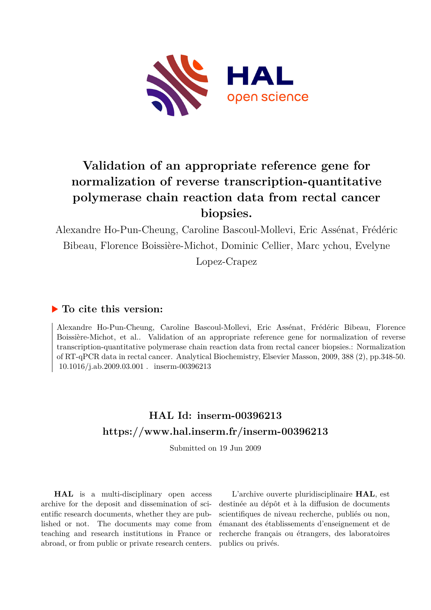

# **Validation of an appropriate reference gene for normalization of reverse transcription-quantitative polymerase chain reaction data from rectal cancer biopsies.**

Alexandre Ho-Pun-Cheung, Caroline Bascoul-Mollevi, Eric Assénat, Frédéric Bibeau, Florence Boissière-Michot, Dominic Cellier, Marc ychou, Evelyne Lopez-Crapez

#### **To cite this version:**

Alexandre Ho-Pun-Cheung, Caroline Bascoul-Mollevi, Eric Assénat, Frédéric Bibeau, Florence Boissière-Michot, et al.. Validation of an appropriate reference gene for normalization of reverse transcription-quantitative polymerase chain reaction data from rectal cancer biopsies.: Normalization of RT-qPCR data in rectal cancer. Analytical Biochemistry, Elsevier Masson, 2009, 388 (2), pp.348-50.  $10.1016/j.ab.2009.03.001$ . inserm-00396213

## **HAL Id: inserm-00396213 <https://www.hal.inserm.fr/inserm-00396213>**

Submitted on 19 Jun 2009

**HAL** is a multi-disciplinary open access archive for the deposit and dissemination of scientific research documents, whether they are published or not. The documents may come from teaching and research institutions in France or abroad, or from public or private research centers.

L'archive ouverte pluridisciplinaire **HAL**, est destinée au dépôt et à la diffusion de documents scientifiques de niveau recherche, publiés ou non, émanant des établissements d'enseignement et de recherche français ou étrangers, des laboratoires publics ou privés.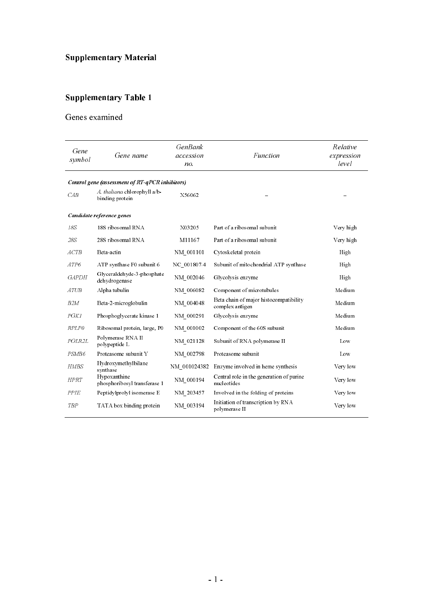## **Supplementary Material**

## Supplementary Table 1

#### Genes examined

| Gene<br>symbol    | Gene name                                       | <b>GenBank</b><br>accession<br>no. | Function                                                  | Relative<br>expression<br>level |
|-------------------|-------------------------------------------------|------------------------------------|-----------------------------------------------------------|---------------------------------|
|                   | Control gene (assessment of RT-qPCR inhibitors) |                                    |                                                           |                                 |
| CAB               | A thaliana chlorophyll a/b-<br>binding protein  | X56062                             |                                                           |                                 |
|                   | Candidate reference genes                       |                                    |                                                           |                                 |
| 18S               | 18S ribosomal RNA                               | X03205                             | Part of a ribosomal subunit                               | Very high                       |
| 28S               | 28S ribosomal RNA                               | M11167                             | Part of a ribosomal subunit                               | Very high                       |
| ACTB              | Beta actin                                      | NM 001101                          | Cytoskeletal protein                                      | High                            |
| ATP6              | ATP synthase F0 subunit 6                       | NC 001807.4                        | Subunit of mitochondrial ATP synthase                     | High                            |
| <b>GAPDH</b>      | Glyceraldehyde-3-phosphate<br>dehydrogenase     | NM 002046                          | Glycolysis enzyme                                         | High                            |
| ATUB              | Alpha tubulin                                   | NM 006082                          | Component of microtubules                                 | Medium                          |
| B2M               | Beta-2-microglobulin                            | NM 004048                          | Beta chain of major histocompatibility<br>complex antigen | Medium                          |
| PGK1              | Phosphoglycerate kinase 1                       | NM 000291                          | Glycolysis enzyme                                         | Medium                          |
| RPLP0             | Ribosomal protein, large, P0                    | NM 001002                          | Component of the 60S subunit                              | Medium                          |
| POLR2L            | Polymerase RNA II<br>polypeptide L              | NM 021128                          | Subunit of RNA polymerase II                              | Low                             |
| PSM <sub>B6</sub> | Proteasome subunit Y                            | NM_002798                          | Proteasome subunit                                        | Low                             |
| <b>HMBS</b>       | Hydroxymethylbilane<br>synthase                 | NM 001024382                       | Enzyme involved in heme synthesis                         | Very low                        |
| <b>HPRT</b>       | Hypoxanthine<br>phosphoribosyl transferase 1    | NM 000194                          | Central role in the generation of purine<br>nucleotides   | Very low                        |
| PPIE              | Peptidylprolyl isomerase E                      | NM 203457                          | Involved in the folding of proteins                       | Very low                        |
| <b>TBP</b>        | TATA box binding protein                        | NM 003194                          | Initiation of transcription by RNA<br>polymerase II       | Very low                        |